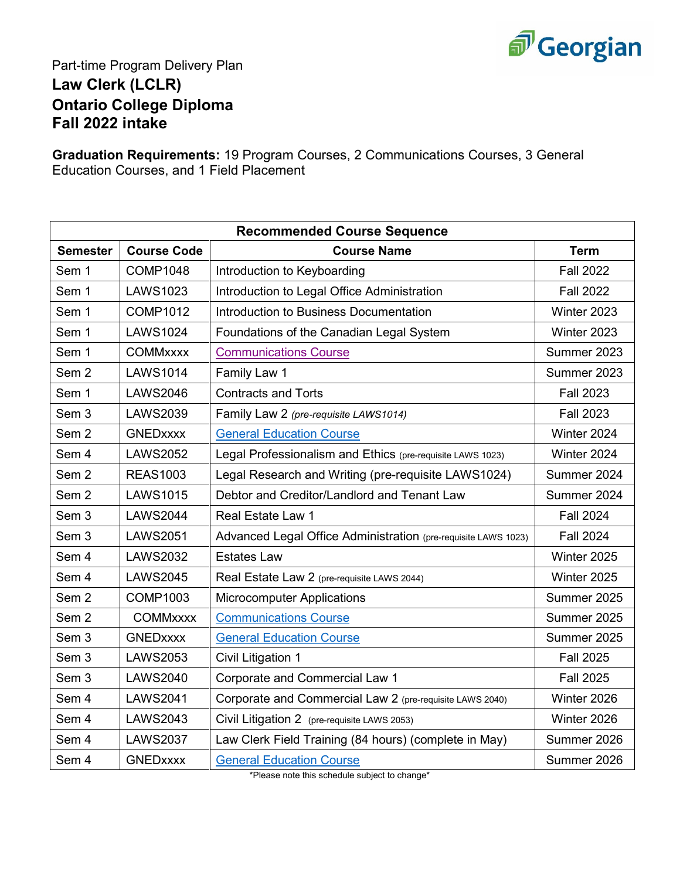

## Part-time Program Delivery Plan **Law Clerk (LCLR) Ontario College Diploma Fall 2022 intake**

**Graduation Requirements:** 19 Program Courses, 2 Communications Courses, 3 General Education Courses, and 1 Field Placement

| <b>Recommended Course Sequence</b> |                    |                                                                |                  |
|------------------------------------|--------------------|----------------------------------------------------------------|------------------|
| <b>Semester</b>                    | <b>Course Code</b> | <b>Course Name</b>                                             | <b>Term</b>      |
| Sem 1                              | <b>COMP1048</b>    | Introduction to Keyboarding                                    | <b>Fall 2022</b> |
| Sem 1                              | <b>LAWS1023</b>    | Introduction to Legal Office Administration                    | <b>Fall 2022</b> |
| Sem 1                              | <b>COMP1012</b>    | Introduction to Business Documentation                         | Winter 2023      |
| Sem 1                              | <b>LAWS1024</b>    | Foundations of the Canadian Legal System                       | Winter 2023      |
| Sem 1                              | <b>COMMxxxx</b>    | <b>Communications Course</b>                                   | Summer 2023      |
| Sem <sub>2</sub>                   | <b>LAWS1014</b>    | Family Law 1                                                   | Summer 2023      |
| Sem 1                              | <b>LAWS2046</b>    | <b>Contracts and Torts</b>                                     | <b>Fall 2023</b> |
| Sem <sub>3</sub>                   | <b>LAWS2039</b>    | Family Law 2 (pre-requisite LAWS1014)                          | <b>Fall 2023</b> |
| Sem <sub>2</sub>                   | <b>GNEDxxxx</b>    | <b>General Education Course</b>                                | Winter 2024      |
| Sem 4                              | <b>LAWS2052</b>    | Legal Professionalism and Ethics (pre-requisite LAWS 1023)     | Winter 2024      |
| Sem <sub>2</sub>                   | <b>REAS1003</b>    | Legal Research and Writing (pre-requisite LAWS1024)            | Summer 2024      |
| Sem <sub>2</sub>                   | <b>LAWS1015</b>    | Debtor and Creditor/Landlord and Tenant Law                    | Summer 2024      |
| Sem <sub>3</sub>                   | <b>LAWS2044</b>    | <b>Real Estate Law 1</b>                                       | <b>Fall 2024</b> |
| Sem <sub>3</sub>                   | <b>LAWS2051</b>    | Advanced Legal Office Administration (pre-requisite LAWS 1023) | <b>Fall 2024</b> |
| Sem 4                              | <b>LAWS2032</b>    | <b>Estates Law</b>                                             | Winter 2025      |
| Sem 4                              | <b>LAWS2045</b>    | Real Estate Law 2 (pre-requisite LAWS 2044)                    | Winter 2025      |
| Sem <sub>2</sub>                   | <b>COMP1003</b>    | <b>Microcomputer Applications</b>                              | Summer 2025      |
| Sem <sub>2</sub>                   | <b>COMMxxxx</b>    | <b>Communications Course</b>                                   | Summer 2025      |
| Sem 3                              | <b>GNEDxxxx</b>    | <b>General Education Course</b>                                | Summer 2025      |
| Sem 3                              | <b>LAWS2053</b>    | Civil Litigation 1                                             | <b>Fall 2025</b> |
| Sem 3                              | <b>LAWS2040</b>    | <b>Corporate and Commercial Law 1</b>                          | <b>Fall 2025</b> |
| Sem 4                              | <b>LAWS2041</b>    | Corporate and Commercial Law 2 (pre-requisite LAWS 2040)       | Winter 2026      |
| Sem 4                              | <b>LAWS2043</b>    | Civil Litigation 2 (pre-requisite LAWS 2053)                   | Winter 2026      |
| Sem 4                              | <b>LAWS2037</b>    | Law Clerk Field Training (84 hours) (complete in May)          | Summer 2026      |
| Sem 4                              | <b>GNEDxxxx</b>    | <b>General Education Course</b>                                | Summer 2026      |

\*Please note this schedule subject to change\*